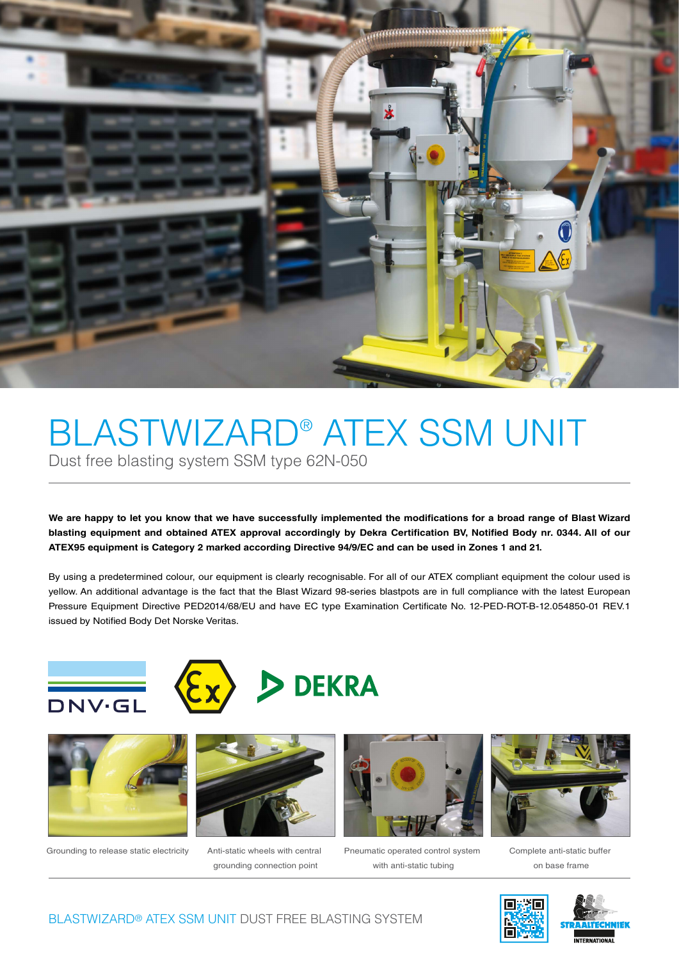

## BLASTWIZARD® ATEX SSM UNIT Dust free blasting system SSM type 62N-050

We are happy to let you know that we have successfully implemented the modifications for a broad range of Blast Wizard blasting equipment and obtained ATEX approval accordingly by Dekra Certification BV, Notified Body nr. 0344. All of our **ATEX95 equipment is Category 2 marked according Directive 94/9/EC and can be used in Zones 1 and 21.** 

By using a predetermined colour, our equipment is clearly recognisable. For all of our ATEX compliant equipment the colour used is yellow. An additional advantage is the fact that the Blast Wizard 98-series blastpots are in full compliance with the latest European Pressure Equipment Directive PED2014/68/EU and have EC type Examination Certificate No. 12-PED-ROT-B-12.054850-01 REV.1 issued by Notified Body Det Norske Veritas.









Grounding to release static electricity Anti-static wheels with central



grounding connection point



Pneumatic operated control system with anti-static tubing



Complete anti-static buffer on base frame



BLASTWIZARD® ATEX SSM UNIT DUST FREE BLASTING SYSTEM